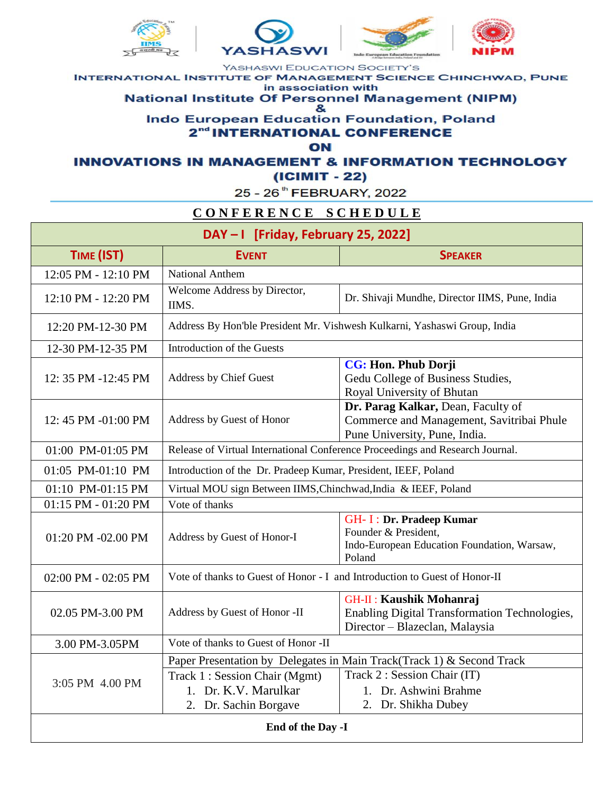







YASHASWI EDUCATION SOCIETY'S **INTERNATIONAL INSTITUTE OF MANAGEMENT SCIENCE CHINCHWAD, PUNE** in association with **National Institute Of Personnel Management (NIPM)** 

& **Indo European Education Foundation, Poland** 2<sup>nd</sup> INTERNATIONAL CONFERENCE

ON

**INNOVATIONS IN MANAGEMENT & INFORMATION TECHNOLOGY** (ICIMIT - 22)

25 - 26<sup>th</sup> FEBRUARY, 2022

## CONFERENCE SCHEDULE

| DAY-I [Friday, February 25, 2022] |                                                                               |                                                                                                                   |  |  |
|-----------------------------------|-------------------------------------------------------------------------------|-------------------------------------------------------------------------------------------------------------------|--|--|
| TIME (IST)                        | <b>EVENT</b>                                                                  | <b>SPEAKER</b>                                                                                                    |  |  |
| 12:05 PM - 12:10 PM               | National Anthem                                                               |                                                                                                                   |  |  |
| 12:10 PM - 12:20 PM               | Welcome Address by Director,<br>IIMS.                                         | Dr. Shivaji Mundhe, Director IIMS, Pune, India                                                                    |  |  |
| 12:20 PM-12-30 PM                 | Address By Hon'ble President Mr. Vishwesh Kulkarni, Yashaswi Group, India     |                                                                                                                   |  |  |
| 12-30 PM-12-35 PM                 | Introduction of the Guests                                                    |                                                                                                                   |  |  |
| 12: 35 PM -12:45 PM               | Address by Chief Guest                                                        | CG: Hon. Phub Dorji<br>Gedu College of Business Studies,<br>Royal University of Bhutan                            |  |  |
| 12:45 PM -01:00 PM                | Address by Guest of Honor                                                     | Dr. Parag Kalkar, Dean, Faculty of<br>Commerce and Management, Savitribai Phule<br>Pune University, Pune, India.  |  |  |
| 01:00 PM-01:05 PM                 | Release of Virtual International Conference Proceedings and Research Journal. |                                                                                                                   |  |  |
| 01:05 PM-01:10 PM                 | Introduction of the Dr. Pradeep Kumar, President, IEEF, Poland                |                                                                                                                   |  |  |
| 01:10 PM-01:15 PM                 | Virtual MOU sign Between IIMS, Chinchwad, India & IEEF, Poland                |                                                                                                                   |  |  |
| 01:15 PM - 01:20 PM               | Vote of thanks                                                                |                                                                                                                   |  |  |
| 01:20 PM -02.00 PM                | Address by Guest of Honor-I                                                   | <b>GH-I: Dr. Pradeep Kumar</b><br>Founder & President,<br>Indo-European Education Foundation, Warsaw,<br>Poland   |  |  |
| 02:00 PM - 02:05 PM               | Vote of thanks to Guest of Honor - I and Introduction to Guest of Honor-II    |                                                                                                                   |  |  |
| 02.05 PM-3.00 PM                  | Address by Guest of Honor -II                                                 | <b>GH-II: Kaushik Mohanraj</b><br>Enabling Digital Transformation Technologies,<br>Director - Blazeclan, Malaysia |  |  |
| 3.00 PM-3.05PM                    | Vote of thanks to Guest of Honor -II                                          |                                                                                                                   |  |  |
|                                   | Paper Presentation by Delegates in Main Track(Track 1) & Second Track         |                                                                                                                   |  |  |
| 3:05 PM 4.00 PM                   | Track 1: Session Chair (Mgmt)                                                 | Track 2 : Session Chair (IT)                                                                                      |  |  |
|                                   | 1. Dr. K.V. Marulkar                                                          | 1. Dr. Ashwini Brahme                                                                                             |  |  |
|                                   | 2. Dr. Sachin Borgave                                                         | 2. Dr. Shikha Dubey                                                                                               |  |  |
| End of the Day -I                 |                                                                               |                                                                                                                   |  |  |